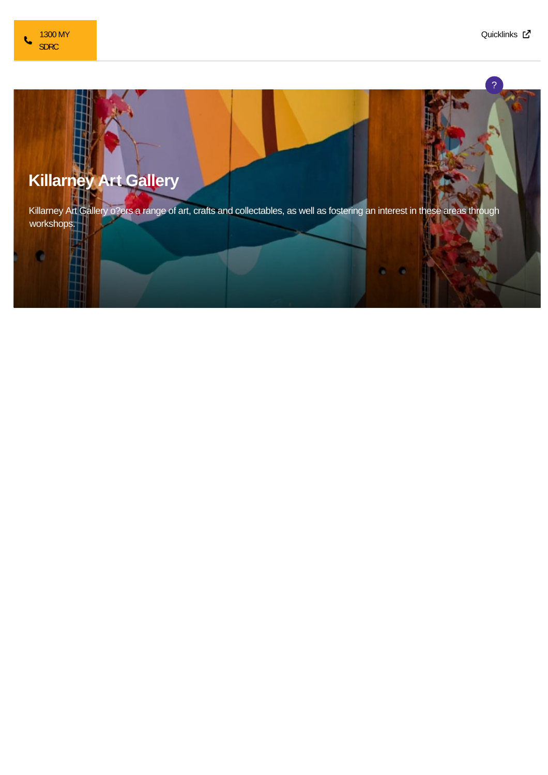

c

?



## **Killarney Art Gallery**

Killarney Art Gallery o?ers a range of art, crafts and collectables, as well as fostering an interest in these areas through workshops.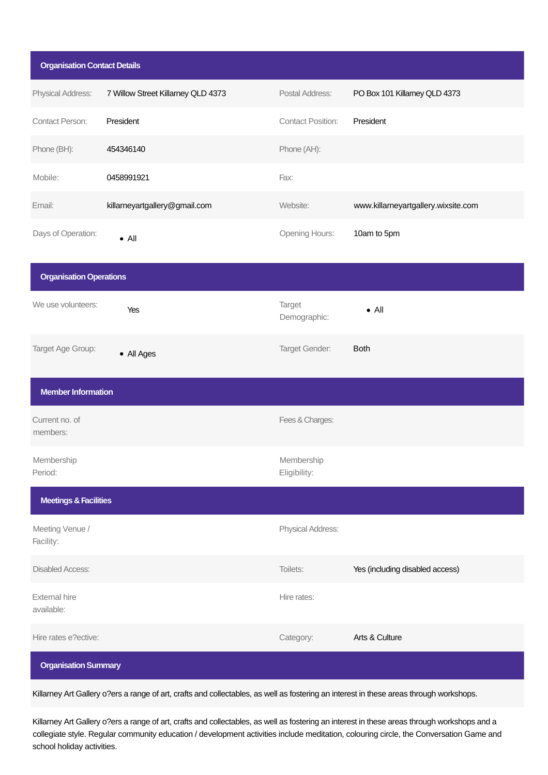| <b>Organisation Contact Details</b> |                                    |                            |                                     |
|-------------------------------------|------------------------------------|----------------------------|-------------------------------------|
| Physical Address:                   | 7 Willow Street Killarney QLD 4373 | Postal Address:            | PO Box 101 Killarney QLD 4373       |
| <b>Contact Person:</b>              | President                          | <b>Contact Position:</b>   | President                           |
| Phone (BH):                         | 454346140                          | Phone (AH):                |                                     |
| Mobile:                             | 0458991921                         | Fax:                       |                                     |
| Email:                              | killarneyartgallery@gmail.com      | Website:                   | www.killarneyartgallery.wixsite.com |
| Days of Operation:                  | $\bullet$ All                      | Opening Hours:             | 10am to 5pm                         |
| <b>Organisation Operations</b>      |                                    |                            |                                     |
| We use volunteers:                  | Yes                                | Target<br>Demographic:     | $\bullet$ All                       |
| Target Age Group:                   | • All Ages                         | Target Gender:             | <b>Both</b>                         |
| <b>Member Information</b>           |                                    |                            |                                     |
| Current no. of<br>members:          |                                    | Fees & Charges:            |                                     |
| Membership<br>Period:               |                                    | Membership<br>Eligibility: |                                     |
| <b>Meetings &amp; Facilities</b>    |                                    |                            |                                     |
| Meeting Venue /<br>Facility:        |                                    | Physical Address:          |                                     |
| <b>Disabled Access:</b>             |                                    | Toilets:                   | Yes (including disabled access)     |
| <b>External hire</b><br>available:  |                                    | Hire rates:                |                                     |
| Hire rates e?ective:                |                                    | Category:                  | Arts & Culture                      |
| <b>Organisation Summary</b>         |                                    |                            |                                     |

Killarney Art Gallery o?ers a range of art, crafts and collectables, as well as fostering an interest in these areas through workshops.

Killarney Art Gallery o?ers a range of art, crafts and collectables, as well as fostering an interest in these areas through workshops and a collegiate style. Regular community education / development activities include meditation, colouring circle, the Conversation Game and school holiday activities.